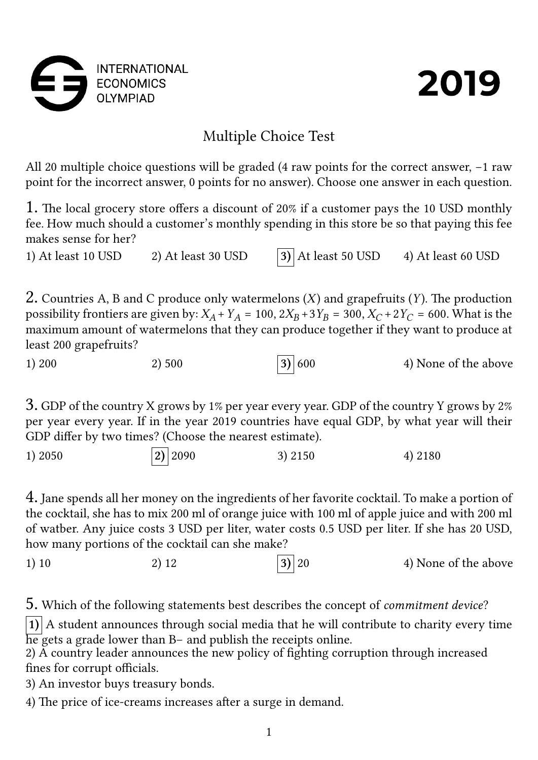



## Multiple Choice Test

All 20 multiple choice questions will be graded (4 raw points for the correct answer, −1 raw point for the incorrect answer, 0 points for no answer). Choose one answer in each question.

1. The local grocery store offers a discount of 20% if a customer pays the 10 USD monthly fee. How much should a customer's monthly spending in this store be so that paying this fee makes sense for her?

1) At least 10 USD 2) At least 30 USD **3)** At least 50 USD 4) At least 60 USD

2. Countries A, B and C produce only watermelons  $(X)$  and grapefruits  $(Y)$ . The production possibility frontiers are given by:  $X_A + Y_A = 100$ ,  $2X_B + 3Y_B = 300$ ,  $X_C + 2Y_C = 600$ . What is the maximum amount of watermelons that they can produce together if they want to produce at least 200 grapefruits?



3. GDP of the country X grows by 1% per year every year. GDP of the country Y grows by 2% per year every year. If in the year 2019 countries have equal GDP, by what year will their GDP differ by two times? (Choose the nearest estimate).

1) 2050 **2)** 2090 3) 2150 4) 2180

4. Jane spends all her money on the ingredients of her favorite cocktail. To make a portion of the cocktail, she has to mix 200 ml of orange juice with 100 ml of apple juice and with 200 ml of watber. Any juice costs 3 USD per liter, water costs 0.5 USD per liter. If she has 20 USD, how many portions of the cocktail can she make?

1) 10 2) 12 **3** 3) 20 4) None of the above

5. Which of the following statements best describes the concept of *commitment device*?

**1)** A student announces through social media that he will contribute to charity every time he gets a grade lower than B− and publish the receipts online.

2) A country leader announces the new policy of fighting corruption through increased fines for corrupt officials.

3) An investor buys treasury bonds.

4) The price of ice-creams increases after a surge in demand.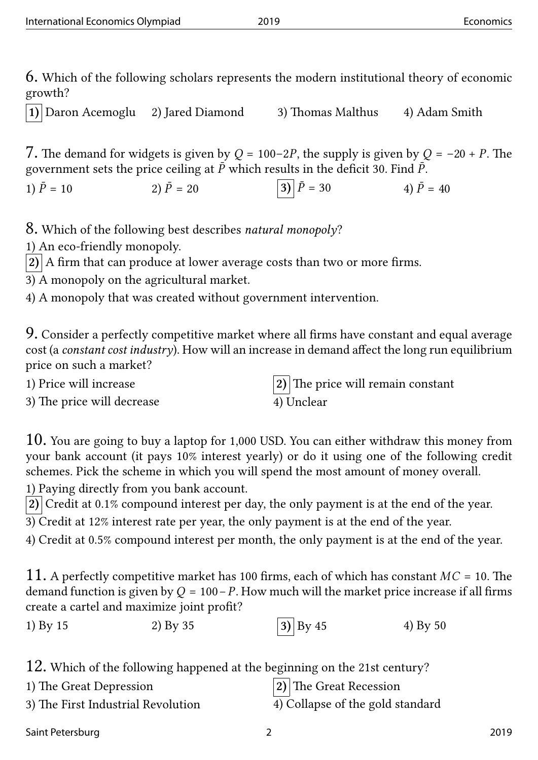6. Which of the following scholars represents the modern institutional theory of economic growth?

**1)** Daron Acemoglu 2) Jared Diamond 3) Thomas Malthus 4) Adam Smith

7. The demand for widgets is given by  $Q = 100-2P$ , the supply is given by  $Q = -20 + P$ . The government sets the price ceiling at  $\bar{P}$  which results in the deficit 30. Find  $\bar{P}$ .

1) = 10 ̄ 2) = 20 ̄ **3)** = 30 ̄ 4) = 40 ̄

8. Which of the following best describes *natural monopoly*?

1) An eco-friendly monopoly.

 $\vert 2) \vert$  A firm that can produce at lower average costs than two or more firms.

3) A monopoly on the agricultural market.

4) A monopoly that was created without government intervention.

9. Consider a perfectly competitive market where all firms have constant and equal average cost (a *constant cost industry*). How will an increase in demand affect the long run equilibrium price on such a market?

3) The price will decrease 4) Unclear

1) Price will increase **2)** The price will remain constant

10. You are going to buy a laptop for 1,000 USD. You can either withdraw this money from your bank account (it pays 10% interest yearly) or do it using one of the following credit schemes. Pick the scheme in which you will spend the most amount of money overall. 1) Paying directly from you bank account.

**2)** Credit at 0.1% compound interest per day, the only payment is at the end of the year.

3) Credit at 12% interest rate per year, the only payment is at the end of the year.

4) Credit at 0.5% compound interest per month, the only payment is at the end of the year.

11. A perfectly competitive market has 100 firms, each of which has constant  $MC = 10$ . The demand function is given by  $Q = 100 - P$ . How much will the market price increase if all firms create a cartel and maximize joint profit?

| 1) By 15 | 2) By 35 | $ 3\rangle$ By 45 | 4) By 50 |
|----------|----------|-------------------|----------|
|----------|----------|-------------------|----------|

12. Which of the following happened at the beginning on the 21st century?

| 1) The Great Depression            | $ 2)$ The Great Recession        |
|------------------------------------|----------------------------------|
| 3) The First Industrial Revolution | 4) Collapse of the gold standard |

Saint Petersburg 2019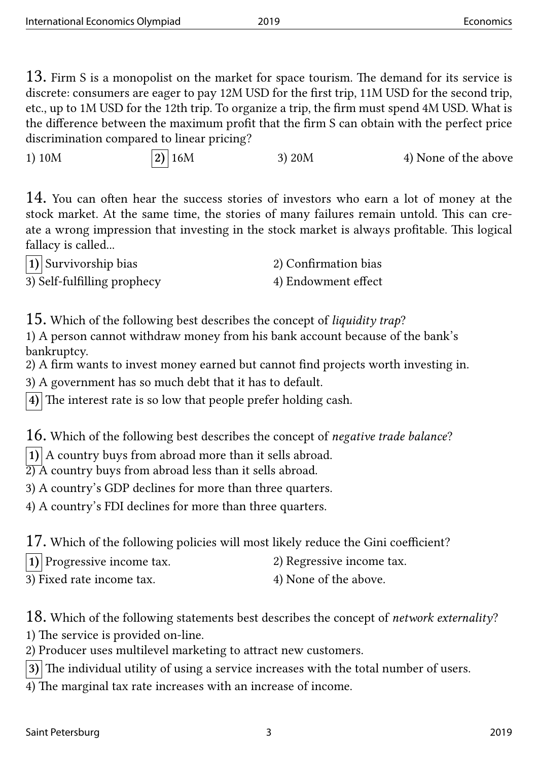13. Firm S is a monopolist on the market for space tourism. The demand for its service is discrete: consumers are eager to pay 12M USD for the first trip, 11M USD for the second trip, etc., up to 1M USD for the 12th trip. To organize a trip, the firm must spend 4M USD. What is the difference between the maximum profit that the firm S can obtain with the perfect price discrimination compared to linear pricing?

1) 10M **2)** 16M 3) 20M 4) None of the above

14. You can often hear the success stories of investors who earn a lot of money at the stock market. At the same time, the stories of many failures remain untold. This can create a wrong impression that investing in the stock market is always profitable. This logical fallacy is called...

| $ 1\rangle$ Survivorship bias | 2) Confirmation bias |
|-------------------------------|----------------------|
| 3) Self-fulfilling prophecy   | 4) Endowment effect  |

15. Which of the following best describes the concept of *liquidity trap*?

1) A person cannot withdraw money from his bank account because of the bank's bankruptcy.

2) A firm wants to invest money earned but cannot find projects worth investing in.

3) A government has so much debt that it has to default.

**4)** The interest rate is so low that people prefer holding cash.

16. Which of the following best describes the concept of *negative trade balance*?

**1)** A country buys from abroad more than it sells abroad.

 $\overleftrightarrow{2)}$  A country buys from abroad less than it sells abroad.

3) A country's GDP declines for more than three quarters.

4) A country's FDI declines for more than three quarters.

17. Which of the following policies will most likely reduce the Gini coefficient?

**1)** Progressive income tax. 2) Regressive income tax.

3) Fixed rate income tax. 4) None of the above.

18. Which of the following statements best describes the concept of *network externality*? 1) The service is provided on-line.

2) Producer uses multilevel marketing to attract new customers.

**3)** The individual utility of using a service increases with the total number of users.

4) The marginal tax rate increases with an increase of income.